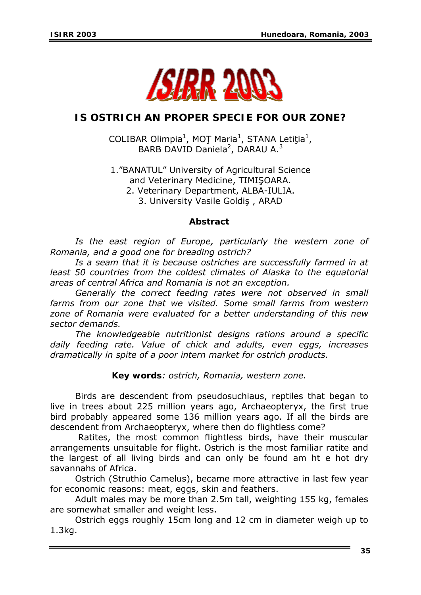

# **IS OSTRICH AN PROPER SPECIE FOR OUR ZONE?**

COLIBAR Olimpia<sup>1</sup>, MOT Maria<sup>1</sup>, STANA Letiţia<sup>1</sup>, BARB DAVID Daniela<sup>2</sup>, DARAU A.<sup>3</sup>

1."BANATUL" University of Agricultural Science and Veterinary Medicine, TIMIŞOARA. 2. Veterinary Department, ALBA-IULIA.

3. University Vasile Goldiş , ARAD

#### *Abstract*

 *Is the east region of Europe, particularly the western zone of Romania, and a good one for breading ostrich?* 

 *Is a seam that it is because ostriches are successfully farmed in at least 50 countries from the coldest climates of Alaska to the equatorial areas of central Africa and Romania is not an exception.* 

 *Generally the correct feeding rates were not observed in small farms from our zone that we visited. Some small farms from western zone of Romania were evaluated for a better understanding of this new sector demands.* 

 *The knowledgeable nutritionist designs rations around a specific daily feeding rate. Value of chick and adults, even eggs, increases dramatically in spite of a poor intern market for ostrich products.* 

*Key words: ostrich, Romania, western zone.* 

 Birds are descendent from pseudosuchiaus, reptiles that began to live in trees about 225 million years ago, Archaeopteryx, the first true bird probably appeared some 136 million years ago. If all the birds are descendent from Archaeopteryx, where then do flightless come?

Ratites, the most common flightless birds, have their muscular arrangements unsuitable for flight. Ostrich is the most familiar ratite and the largest of all living birds and can only be found am ht e hot dry savannahs of Africa.

 Ostrich (Struthio Camelus), became more attractive in last few year for economic reasons: meat, eggs, skin and feathers.

 Adult males may be more than 2.5m tall, weighting 155 kg, females are somewhat smaller and weight less.

 Ostrich eggs roughly 15cm long and 12 cm in diameter weigh up to 1.3kg.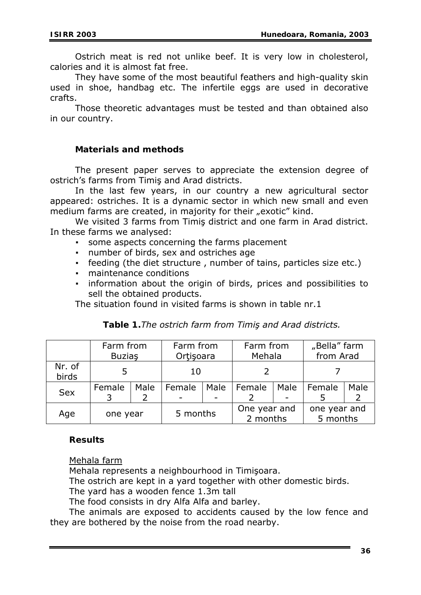Ostrich meat is red not unlike beef. It is very low in cholesterol, calories and it is almost fat free.

 They have some of the most beautiful feathers and high-quality skin used in shoe, handbag etc. The infertile eggs are used in decorative crafts.

 Those theoretic advantages must be tested and than obtained also in our country.

## **Materials and methods**

 The present paper serves to appreciate the extension degree of ostrich's farms from Timiş and Arad districts.

 In the last few years, in our country a new agricultural sector appeared: ostriches. It is a dynamic sector in which new small and even medium farms are created, in majority for their "exotic" kind.

 We visited 3 farms from Timiş district and one farm in Arad district. In these farms we analysed:

- some aspects concerning the farms placement
- number of birds, sex and ostriches age
- feeding (the diet structure, number of tains, particles size etc.)
- maintenance conditions
- information about the origin of birds, prices and possibilities to sell the obtained products.

The situation found in visited farms is shown in table nr.1

|                 | Farm from<br><b>Buzias</b> |      | Farm from<br>Ortisoara |      | Farm from<br>Mehala      |      | "Bella" farm<br>from Arad |      |
|-----------------|----------------------------|------|------------------------|------|--------------------------|------|---------------------------|------|
| Nr. of<br>birds |                            |      | 10                     |      |                          |      |                           |      |
| <b>Sex</b>      | Female                     | Male | Female                 | Male | Female                   | Male | Female                    | Male |
| Age             | one year                   |      | 5 months               |      | One year and<br>2 months |      | one year and<br>5 months  |      |

# *Table 1.The ostrich farm from Timiş and Arad districts.*

# **Results**

Mehala farm

Mehala represents a neighbourhood in Timişoara.

The ostrich are kept in a yard together with other domestic birds.

The yard has a wooden fence 1.3m tall

The food consists in dry Alfa Alfa and barley.

The animals are exposed to accidents caused by the low fence and they are bothered by the noise from the road nearby.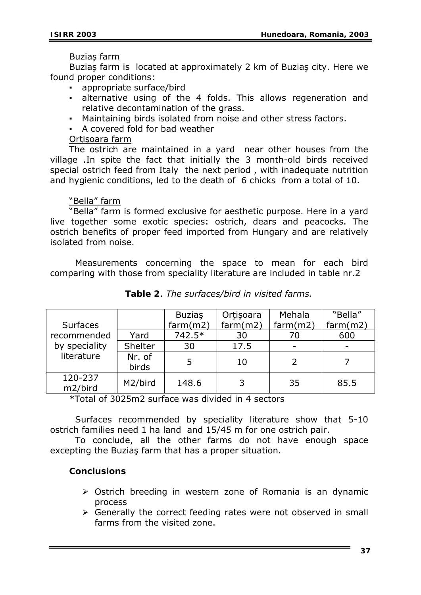#### Buziaş farm

Buziaş farm is located at approximately 2 km of Buziaş city. Here we found proper conditions:

- appropriate surface/bird
- alternative using of the 4 folds. This allows regeneration and relative decontamination of the grass.
- Maintaining birds isolated from noise and other stress factors.
- A covered fold for bad weather

## Ortisoara farm

The ostrich are maintained in a yard near other houses from the village .In spite the fact that initially the 3 month-old birds received special ostrich feed from Italy the next period , with inadequate nutrition and hygienic conditions, led to the death of 6 chicks from a total of 10.

#### "Bella" farm

"Bella" farm is formed exclusive for aesthetic purpose. Here in a yard live together some exotic species: ostrich, dears and peacocks. The ostrich benefits of proper feed imported from Hungary and are relatively isolated from noise.

 Measurements concerning the space to mean for each bird comparing with those from speciality literature are included in table nr.2

|                 |         | <b>Buzias</b> | Ortisoara | Mehala   | "Bella"  |
|-----------------|---------|---------------|-----------|----------|----------|
| <b>Surfaces</b> |         | farm(m2)      | farm(m2)  | farm(m2) | farm(m2) |
| recommended     | Yard    | $742.5*$      | 30        | 70       | 600      |
| by speciality   | Shelter | 30            | 17.5      |          |          |
| literature      | Nr. of  | 5             | 10        |          |          |
|                 | birds   |               |           |          |          |
| 120-237         | M2/bird | 148.6         | 3         | 35       | 85.5     |
| m2/bird         |         |               |           |          |          |

*Table 2*. *The surfaces/bird in visited farms.*

\*Total of 3025m2 surface was divided in 4 sectors

 Surfaces recommended by speciality literature show that 5-10 ostrich families need 1 ha land and 15/45 m for one ostrich pair.

 To conclude, all the other farms do not have enough space excepting the Buziaş farm that has a proper situation.

# **Conclusions**

- $\triangleright$  Ostrich breeding in western zone of Romania is an dynamic process
- $\triangleright$  Generally the correct feeding rates were not observed in small farms from the visited zone.